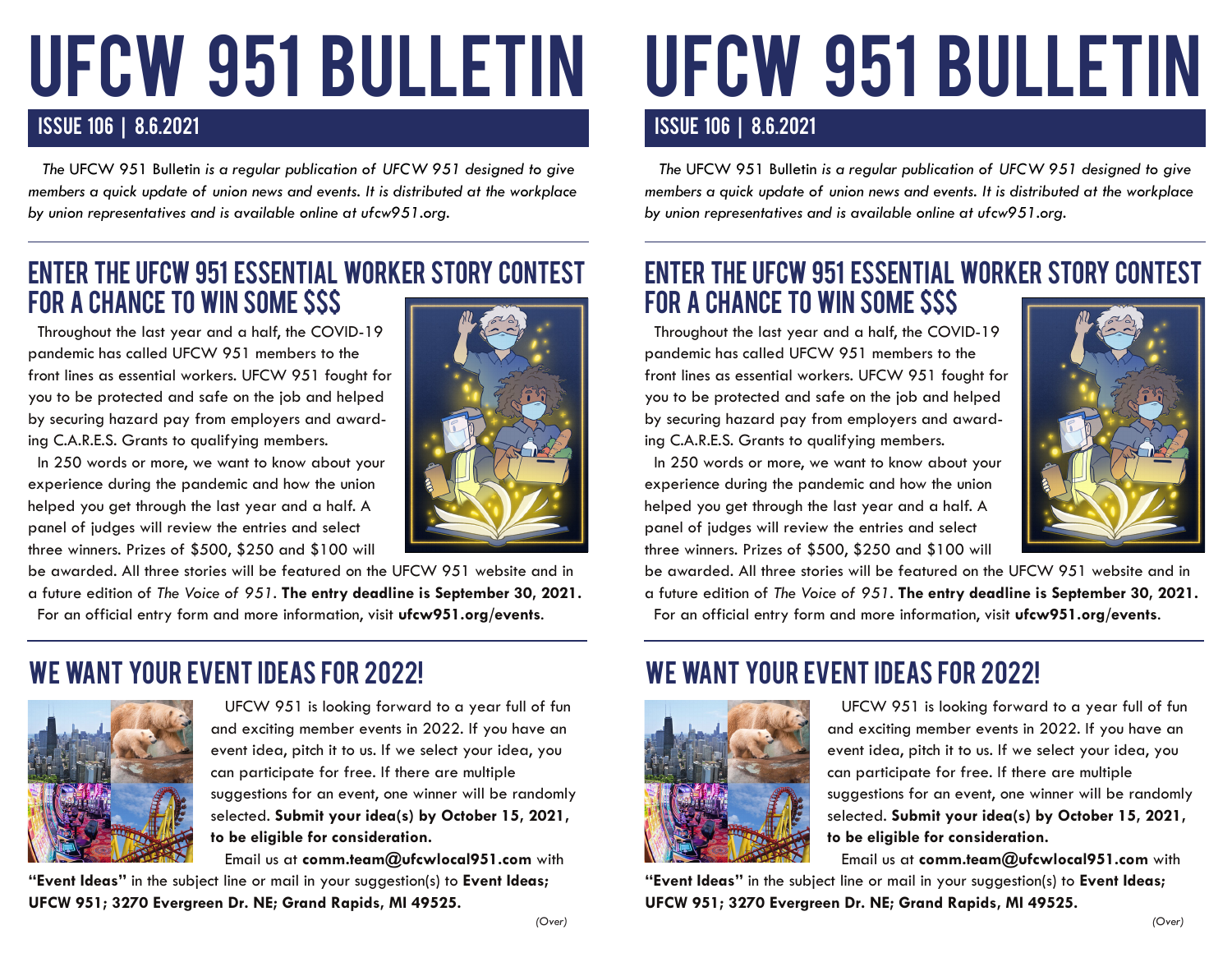# UFCW 951 BULLETIN

#### ISSUE 106 | 8.6.2021 ISSUE 106 | 8.6.2021

 *The* UFCW 951 Bulletin *is a regular publication of UFCW 951 designed to give members a quick update of union news and events. It is distributed at the workplace by union representatives and is available online at ufcw951.org.* 

### ENTER THE UFCW 951 ESSENTIAL WORKER STORY CONTEST FOR A CHANCE TO WIN SOME \$\$\$

 Throughout the last year and a half, the COVID-19 pandemic has called UFCW 951 members to the front lines as essential workers. UFCW 951 fought for you to be protected and safe on the job and helped by securing hazard pay from employers and awarding C.A.R.E.S. Grants to qualifying members.

 In 250 words or more, we want to know about your experience during the pandemic and how the union helped you get through the last year and a half. A panel of judges will review the entries and select three winners. Prizes of \$500, \$250 and \$100 will



be awarded. All three stories will be featured on the UFCW 951 website and in a future edition of *The Voice of 951*. **The entry deadline is September 30, 2021.** For an official entry form and more information, visit **ufcw951.org/events**.

#### WE WANT YOUR EVENT IDEAS FOR 2022!



 UFCW 951 is looking forward to a year full of fun and exciting member events in 2022. If you have an event idea, pitch it to us. If we select your idea, you can participate for free. If there are multiple suggestions for an event, one winner will be randomly selected. **Submit your idea(s) by October 15, 2021, to be eligible for consideration.**

 Email us at **comm.team@ufcwlocal951.com** with **"Event Ideas"** in the subject line or mail in your suggestion(s) to **Event Ideas; UFCW 951; 3270 Evergreen Dr. NE; Grand Rapids, MI 49525.**